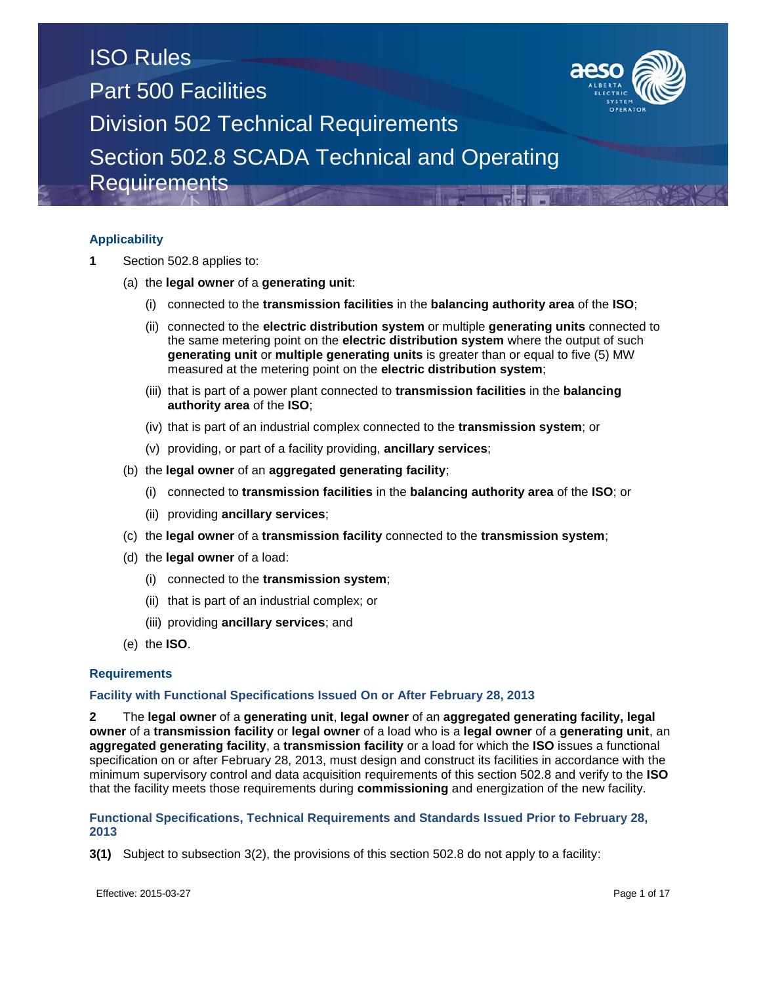

### **Applicability**

- **1** Section 502.8 applies to:
	- (a) the **legal owner** of a **generating unit**:
		- (i) connected to the **transmission facilities** in the **balancing authority area** of the **ISO**;
		- (ii) connected to the **electric distribution system** or multiple **generating units** connected to the same metering point on the **electric distribution system** where the output of such **generating unit** or **multiple generating units** is greater than or equal to five (5) MW measured at the metering point on the **electric distribution system**;
		- (iii) that is part of a power plant connected to **transmission facilities** in the **balancing authority area** of the **ISO**;
		- (iv) that is part of an industrial complex connected to the **transmission system**; or
		- (v) providing, or part of a facility providing, **ancillary services**;
	- (b) the **legal owner** of an **aggregated generating facility**;
		- (i) connected to **transmission facilities** in the **balancing authority area** of the **ISO**; or
		- (ii) providing **ancillary services**;
	- (c) the **legal owner** of a **transmission facility** connected to the **transmission system**;
	- (d) the **legal owner** of a load:
		- (i) connected to the **transmission system**;
		- (ii) that is part of an industrial complex; or
		- (iii) providing **ancillary services**; and
	- (e) the **ISO**.

### **Requirements**

### **Facility with Functional Specifications Issued On or After February 28, 2013**

**2** The **legal owner** of a **generating unit**, **legal owner** of an **aggregated generating facility, legal owner** of a **transmission facility** or **legal owner** of a load who is a **legal owner** of a **generating unit**, an **aggregated generating facility**, a **transmission facility** or a load for which the **ISO** issues a functional specification on or after February 28, 2013, must design and construct its facilities in accordance with the minimum supervisory control and data acquisition requirements of this section 502.8 and verify to the **ISO** that the facility meets those requirements during **commissioning** and energization of the new facility.

### **Functional Specifications, Technical Requirements and Standards Issued Prior to February 28, 2013**

**3(1)** Subject to subsection 3(2), the provisions of this section 502.8 do not apply to a facility: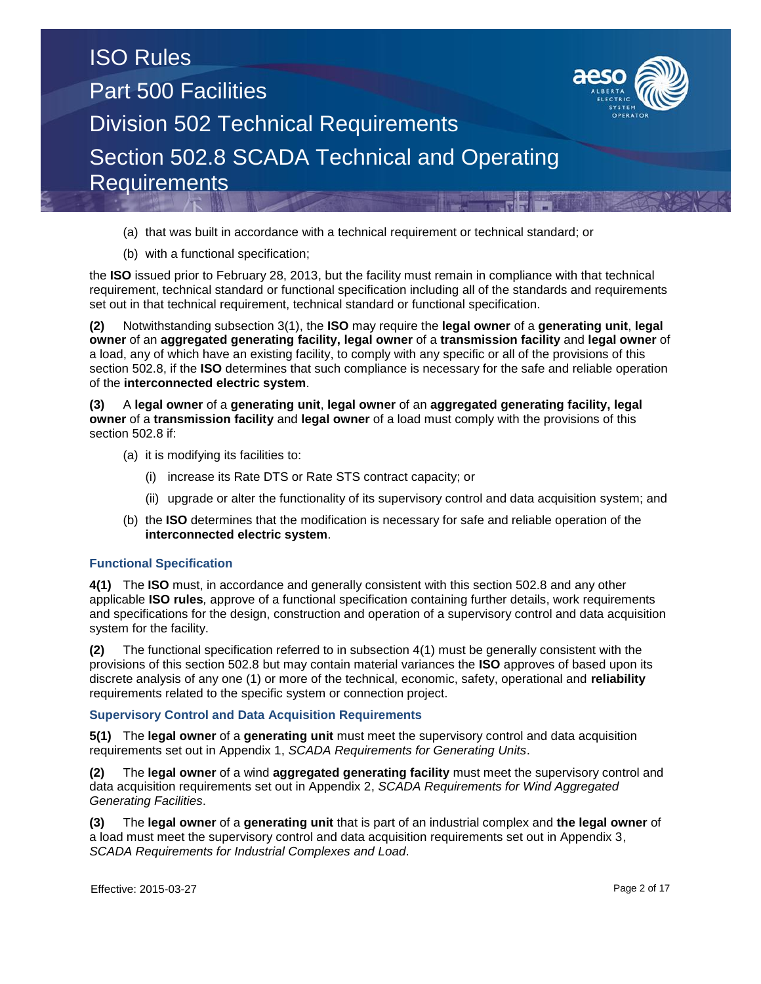

- (a) that was built in accordance with a technical requirement or technical standard; or
- (b) with a functional specification;

the **ISO** issued prior to February 28, 2013, but the facility must remain in compliance with that technical requirement, technical standard or functional specification including all of the standards and requirements set out in that technical requirement, technical standard or functional specification.

**(2)** Notwithstanding subsection 3(1), the **ISO** may require the **legal owner** of a **generating unit**, **legal owner** of an **aggregated generating facility, legal owner** of a **transmission facility** and **legal owner** of a load, any of which have an existing facility, to comply with any specific or all of the provisions of this section 502.8, if the **ISO** determines that such compliance is necessary for the safe and reliable operation of the **interconnected electric system**.

**(3)** A **legal owner** of a **generating unit**, **legal owner** of an **aggregated generating facility, legal owner** of a **transmission facility** and **legal owner** of a load must comply with the provisions of this section 502.8 if:

- (a) it is modifying its facilities to:
	- (i) increase its Rate DTS or Rate STS contract capacity; or
	- (ii) upgrade or alter the functionality of its supervisory control and data acquisition system; and
- (b) the **ISO** determines that the modification is necessary for safe and reliable operation of the **interconnected electric system**.

### **Functional Specification**

**4(1)** The **ISO** must, in accordance and generally consistent with this section 502.8 and any other applicable **ISO rules***,* approve of a functional specification containing further details, work requirements and specifications for the design, construction and operation of a supervisory control and data acquisition system for the facility.

**(2)** The functional specification referred to in subsection 4(1) must be generally consistent with the provisions of this section 502.8 but may contain material variances the **ISO** approves of based upon its discrete analysis of any one (1) or more of the technical, economic, safety, operational and **reliability**  requirements related to the specific system or connection project.

### **Supervisory Control and Data Acquisition Requirements**

**5(1)** The **legal owner** of a **generating unit** must meet the supervisory control and data acquisition requirements set out in Appendix 1, *SCADA Requirements for Generating Units*.

**(2)** The **legal owner** of a wind **aggregated generating facility** must meet the supervisory control and data acquisition requirements set out in Appendix 2, *SCADA Requirements for Wind Aggregated Generating Facilities*.

**(3)** The **legal owner** of a **generating unit** that is part of an industrial complex and **the legal owner** of a load must meet the supervisory control and data acquisition requirements set out in Appendix 3, *SCADA Requirements for Industrial Complexes and Load*.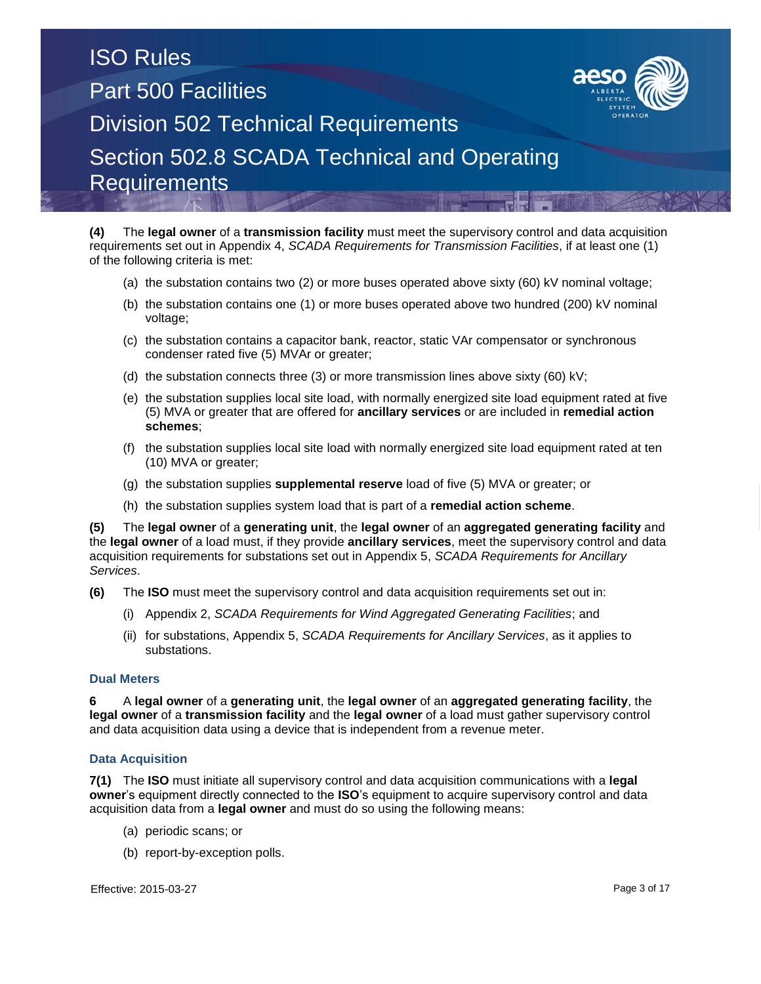

- (a) the substation contains two (2) or more buses operated above sixty (60) kV nominal voltage;
- (b) the substation contains one (1) or more buses operated above two hundred (200) kV nominal voltage;
- (c) the substation contains a capacitor bank, reactor, static VAr compensator or synchronous condenser rated five (5) MVAr or greater;
- (d) the substation connects three (3) or more transmission lines above sixty (60) kV;
- (e) the substation supplies local site load, with normally energized site load equipment rated at five (5) MVA or greater that are offered for **ancillary services** or are included in **remedial action schemes**;
- (f) the substation supplies local site load with normally energized site load equipment rated at ten (10) MVA or greater;
- (g) the substation supplies **supplemental reserve** load of five (5) MVA or greater; or
- (h) the substation supplies system load that is part of a **remedial action scheme**.

**(5)** The **legal owner** of a **generating unit**, the **legal owner** of an **aggregated generating facility** and the **legal owner** of a load must, if they provide **ancillary services**, meet the supervisory control and data acquisition requirements for substations set out in Appendix 5, *SCADA Requirements for Ancillary Services*.

- **(6)** The **ISO** must meet the supervisory control and data acquisition requirements set out in:
	- (i) Appendix 2, *SCADA Requirements for Wind Aggregated Generating Facilities*; and
	- (ii) for substations, Appendix 5, *SCADA Requirements for Ancillary Services*, as it applies to substations.

### **Dual Meters**

**6** A **legal owner** of a **generating unit**, the **legal owner** of an **aggregated generating facility**, the **legal owner** of a **transmission facility** and the **legal owner** of a load must gather supervisory control and data acquisition data using a device that is independent from a revenue meter.

### **Data Acquisition**

**7(1)** The **ISO** must initiate all supervisory control and data acquisition communications with a **legal owner**'s equipment directly connected to the **ISO**'s equipment to acquire supervisory control and data acquisition data from a **legal owner** and must do so using the following means:

- (a) periodic scans; or
- (b) report-by-exception polls.

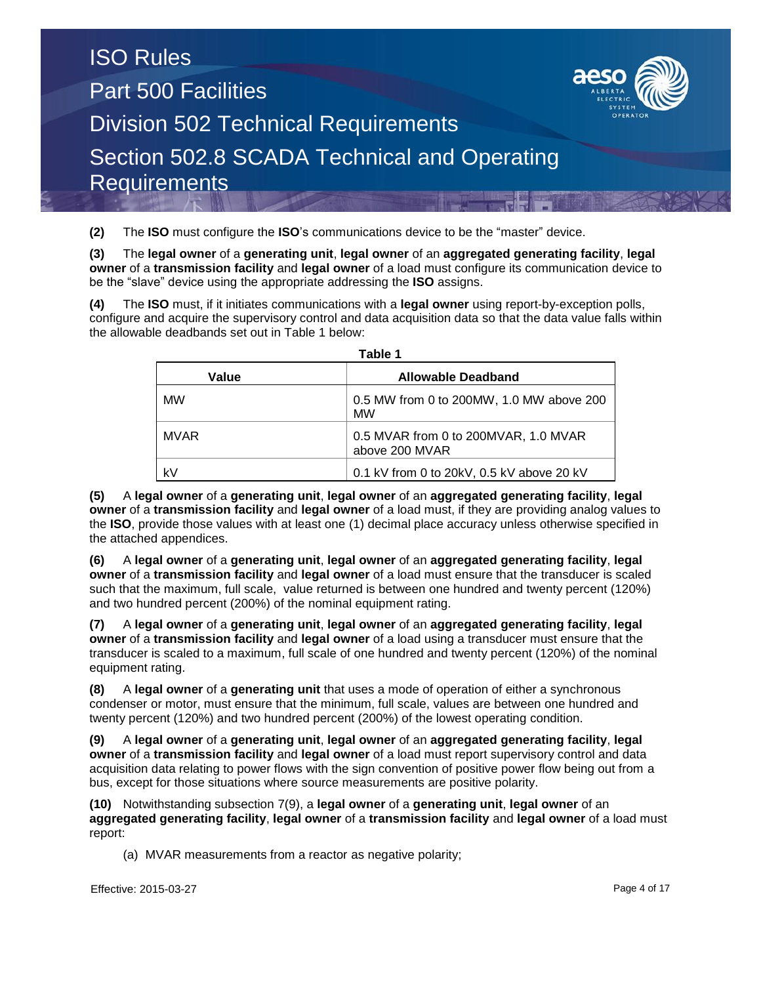**(2)** The **ISO** must configure the **ISO**'s communications device to be the "master" device.

**(3)** The **legal owner** of a **generating unit**, **legal owner** of an **aggregated generating facility**, **legal owner** of a **transmission facility** and **legal owner** of a load must configure its communication device to be the "slave" device using the appropriate addressing the **ISO** assigns.

**(4)** The **ISO** must, if it initiates communications with a **legal owner** using report-by-exception polls, configure and acquire the supervisory control and data acquisition data so that the data value falls within the allowable deadbands set out in Table 1 below:

| l avic I  |                                                        |  |  |  |  |  |  |  |  |  |
|-----------|--------------------------------------------------------|--|--|--|--|--|--|--|--|--|
| Value     | <b>Allowable Deadband</b>                              |  |  |  |  |  |  |  |  |  |
| <b>MW</b> | 0.5 MW from 0 to 200MW, 1.0 MW above 200<br><b>MW</b>  |  |  |  |  |  |  |  |  |  |
| MVAR      | 0.5 MVAR from 0 to 200MVAR, 1.0 MVAR<br>above 200 MVAR |  |  |  |  |  |  |  |  |  |
| k٧        | 0.1 kV from 0 to 20kV, 0.5 kV above 20 kV              |  |  |  |  |  |  |  |  |  |

**Table 1**

**(5)** A **legal owner** of a **generating unit**, **legal owner** of an **aggregated generating facility**, **legal owner** of a **transmission facility** and **legal owner** of a load must, if they are providing analog values to the **ISO**, provide those values with at least one (1) decimal place accuracy unless otherwise specified in the attached appendices.

**(6)** A **legal owner** of a **generating unit**, **legal owner** of an **aggregated generating facility**, **legal owner** of a **transmission facility** and **legal owner** of a load must ensure that the transducer is scaled such that the maximum, full scale, value returned is between one hundred and twenty percent (120%) and two hundred percent (200%) of the nominal equipment rating.

**(7)** A **legal owner** of a **generating unit**, **legal owner** of an **aggregated generating facility**, **legal owner** of a **transmission facility** and **legal owner** of a load using a transducer must ensure that the transducer is scaled to a maximum, full scale of one hundred and twenty percent (120%) of the nominal equipment rating.

**(8)** A **legal owner** of a **generating unit** that uses a mode of operation of either a synchronous condenser or motor, must ensure that the minimum, full scale, values are between one hundred and twenty percent (120%) and two hundred percent (200%) of the lowest operating condition.

**(9)** A **legal owner** of a **generating unit**, **legal owner** of an **aggregated generating facility**, **legal owner** of a **transmission facility** and **legal owner** of a load must report supervisory control and data acquisition data relating to power flows with the sign convention of positive power flow being out from a bus, except for those situations where source measurements are positive polarity.

**(10)** Notwithstanding subsection 7(9), a **legal owner** of a **generating unit**, **legal owner** of an **aggregated generating facility**, **legal owner** of a **transmission facility** and **legal owner** of a load must report:

(a) MVAR measurements from a reactor as negative polarity;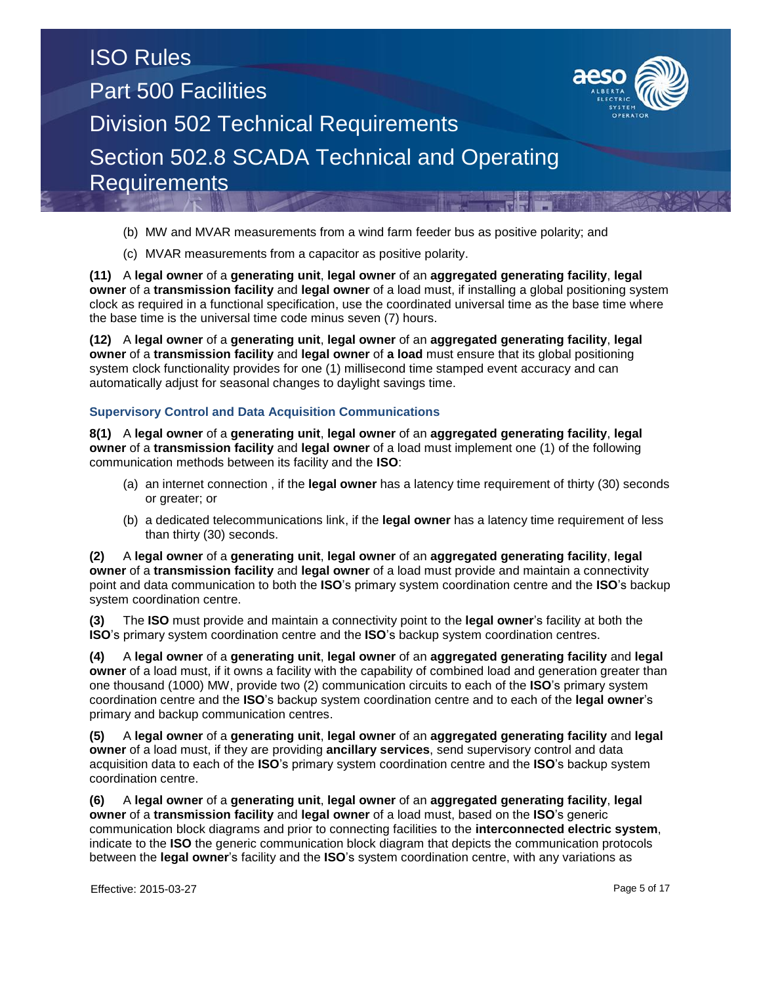

(c) MVAR measurements from a capacitor as positive polarity.

**(11)** A **legal owner** of a **generating unit**, **legal owner** of an **aggregated generating facility**, **legal owner** of a **transmission facility** and **legal owner** of a load must, if installing a global positioning system clock as required in a functional specification, use the coordinated universal time as the base time where the base time is the universal time code minus seven (7) hours.

**(12)** A **legal owner** of a **generating unit**, **legal owner** of an **aggregated generating facility**, **legal owner** of a **transmission facility** and **legal owner** of **a load** must ensure that its global positioning system clock functionality provides for one (1) millisecond time stamped event accuracy and can automatically adjust for seasonal changes to daylight savings time.

### **Supervisory Control and Data Acquisition Communications**

**8(1)** A **legal owner** of a **generating unit**, **legal owner** of an **aggregated generating facility**, **legal owner** of a **transmission facility** and **legal owner** of a load must implement one (1) of the following communication methods between its facility and the **ISO**:

- (a) an internet connection , if the **legal owner** has a latency time requirement of thirty (30) seconds or greater; or
- (b) a dedicated telecommunications link, if the **legal owner** has a latency time requirement of less than thirty (30) seconds.

**(2)** A **legal owner** of a **generating unit**, **legal owner** of an **aggregated generating facility**, **legal owner** of a **transmission facility** and **legal owner** of a load must provide and maintain a connectivity point and data communication to both the **ISO**'s primary system coordination centre and the **ISO**'s backup system coordination centre.

**(3)** The **ISO** must provide and maintain a connectivity point to the **legal owner**'s facility at both the **ISO**'s primary system coordination centre and the **ISO**'s backup system coordination centres.

**(4)** A **legal owner** of a **generating unit**, **legal owner** of an **aggregated generating facility** and **legal owner** of a load must, if it owns a facility with the capability of combined load and generation greater than one thousand (1000) MW, provide two (2) communication circuits to each of the **ISO**'s primary system coordination centre and the **ISO**'s backup system coordination centre and to each of the **legal owner**'s primary and backup communication centres.

**(5)** A **legal owner** of a **generating unit**, **legal owner** of an **aggregated generating facility** and **legal owner** of a load must, if they are providing **ancillary services**, send supervisory control and data acquisition data to each of the **ISO**'s primary system coordination centre and the **ISO**'s backup system coordination centre.

**(6)** A **legal owner** of a **generating unit**, **legal owner** of an **aggregated generating facility**, **legal owner** of a **transmission facility** and **legal owner** of a load must, based on the **ISO**'s generic communication block diagrams and prior to connecting facilities to the **interconnected electric system**, indicate to the **ISO** the generic communication block diagram that depicts the communication protocols between the **legal owner**'s facility and the **ISO**'s system coordination centre, with any variations as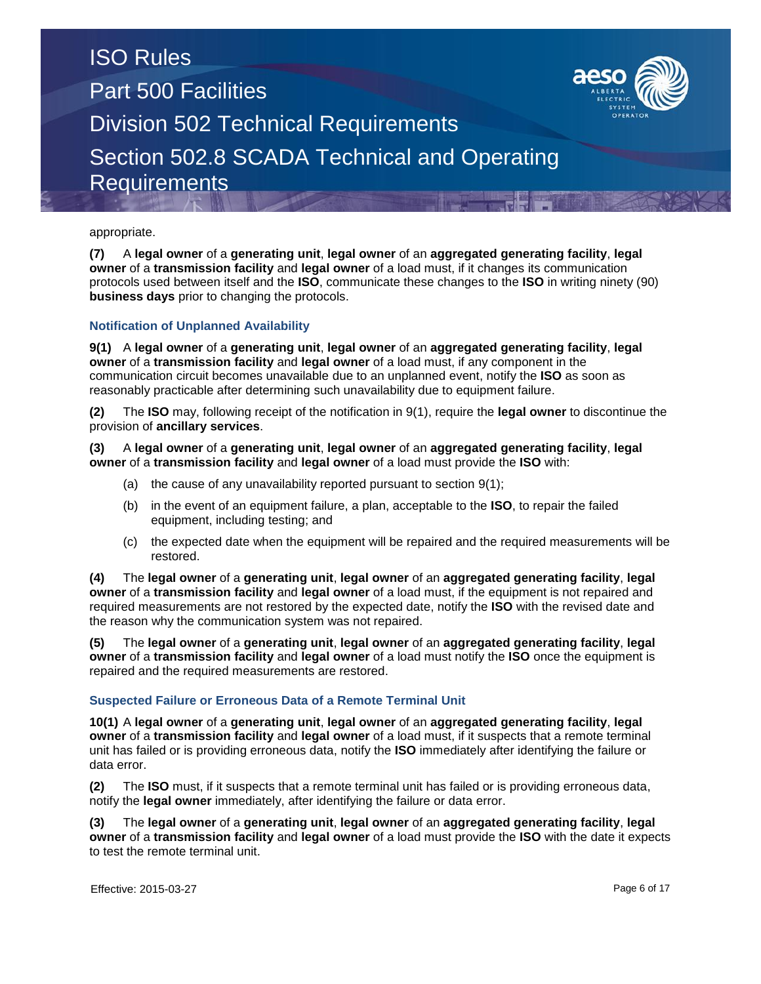

**(7)** A **legal owner** of a **generating unit**, **legal owner** of an **aggregated generating facility**, **legal owner** of a **transmission facility** and **legal owner** of a load must, if it changes its communication protocols used between itself and the **ISO**, communicate these changes to the **ISO** in writing ninety (90) **business days** prior to changing the protocols.

### **Notification of Unplanned Availability**

**9(1)** A **legal owner** of a **generating unit**, **legal owner** of an **aggregated generating facility**, **legal owner** of a **transmission facility** and **legal owner** of a load must, if any component in the communication circuit becomes unavailable due to an unplanned event, notify the **ISO** as soon as reasonably practicable after determining such unavailability due to equipment failure.

**(2)** The **ISO** may, following receipt of the notification in 9(1), require the **legal owner** to discontinue the provision of **ancillary services**.

**(3)** A **legal owner** of a **generating unit**, **legal owner** of an **aggregated generating facility**, **legal owner** of a **transmission facility** and **legal owner** of a load must provide the **ISO** with:

- (a) the cause of any unavailability reported pursuant to section 9(1);
- (b) in the event of an equipment failure, a plan, acceptable to the **ISO**, to repair the failed equipment, including testing; and
- (c) the expected date when the equipment will be repaired and the required measurements will be restored.

**(4)** The **legal owner** of a **generating unit**, **legal owner** of an **aggregated generating facility**, **legal owner** of a **transmission facility** and **legal owner** of a load must, if the equipment is not repaired and required measurements are not restored by the expected date, notify the **ISO** with the revised date and the reason why the communication system was not repaired.

**(5)** The **legal owner** of a **generating unit**, **legal owner** of an **aggregated generating facility**, **legal owner** of a **transmission facility** and **legal owner** of a load must notify the **ISO** once the equipment is repaired and the required measurements are restored.

### **Suspected Failure or Erroneous Data of a Remote Terminal Unit**

**10(1)** A **legal owner** of a **generating unit**, **legal owner** of an **aggregated generating facility**, **legal owner** of a **transmission facility** and **legal owner** of a load must, if it suspects that a remote terminal unit has failed or is providing erroneous data, notify the **ISO** immediately after identifying the failure or data error.

**(2)** The **ISO** must, if it suspects that a remote terminal unit has failed or is providing erroneous data, notify the **legal owner** immediately, after identifying the failure or data error.

**(3)** The **legal owner** of a **generating unit**, **legal owner** of an **aggregated generating facility**, **legal owner** of a **transmission facility** and **legal owner** of a load must provide the **ISO** with the date it expects to test the remote terminal unit.

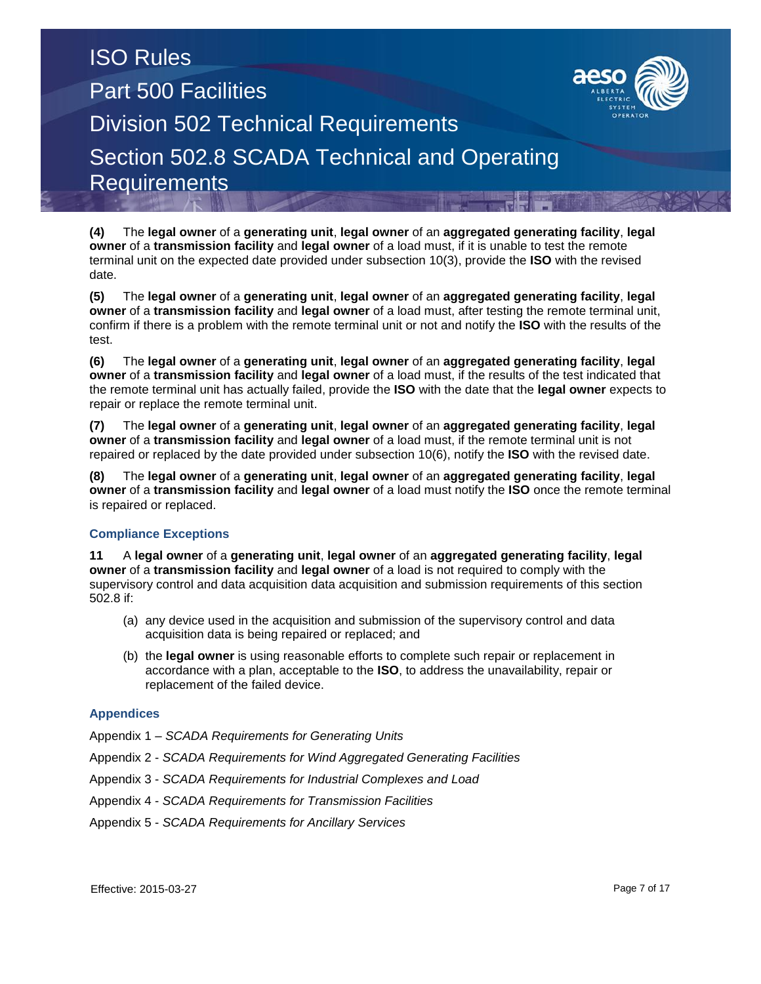

**(5)** The **legal owner** of a **generating unit**, **legal owner** of an **aggregated generating facility**, **legal owner** of a **transmission facility** and **legal owner** of a load must, after testing the remote terminal unit, confirm if there is a problem with the remote terminal unit or not and notify the **ISO** with the results of the test.

**(6)** The **legal owner** of a **generating unit**, **legal owner** of an **aggregated generating facility**, **legal owner** of a **transmission facility** and **legal owner** of a load must, if the results of the test indicated that the remote terminal unit has actually failed, provide the **ISO** with the date that the **legal owner** expects to repair or replace the remote terminal unit.

**(7)** The **legal owner** of a **generating unit**, **legal owner** of an **aggregated generating facility**, **legal owner** of a **transmission facility** and **legal owner** of a load must, if the remote terminal unit is not repaired or replaced by the date provided under subsection 10(6), notify the **ISO** with the revised date.

**(8)** The **legal owner** of a **generating unit**, **legal owner** of an **aggregated generating facility**, **legal owner** of a **transmission facility** and **legal owner** of a load must notify the **ISO** once the remote terminal is repaired or replaced.

### **Compliance Exceptions**

**11** A **legal owner** of a **generating unit**, **legal owner** of an **aggregated generating facility**, **legal owner** of a **transmission facility** and **legal owner** of a load is not required to comply with the supervisory control and data acquisition data acquisition and submission requirements of this section 502.8 if:

- (a) any device used in the acquisition and submission of the supervisory control and data acquisition data is being repaired or replaced; and
- (b) the **legal owner** is using reasonable efforts to complete such repair or replacement in accordance with a plan, acceptable to the **ISO**, to address the unavailability, repair or replacement of the failed device.

### **Appendices**

Appendix 1 – *SCADA Requirements for Generating Units*

- Appendix 2 *SCADA Requirements for Wind Aggregated Generating Facilities*
- Appendix 3 *SCADA Requirements for Industrial Complexes and Load*
- Appendix 4 *SCADA Requirements for Transmission Facilities*
- Appendix 5 *SCADA Requirements for Ancillary Services*

Effective: 2015-03-27 Page 7 of 17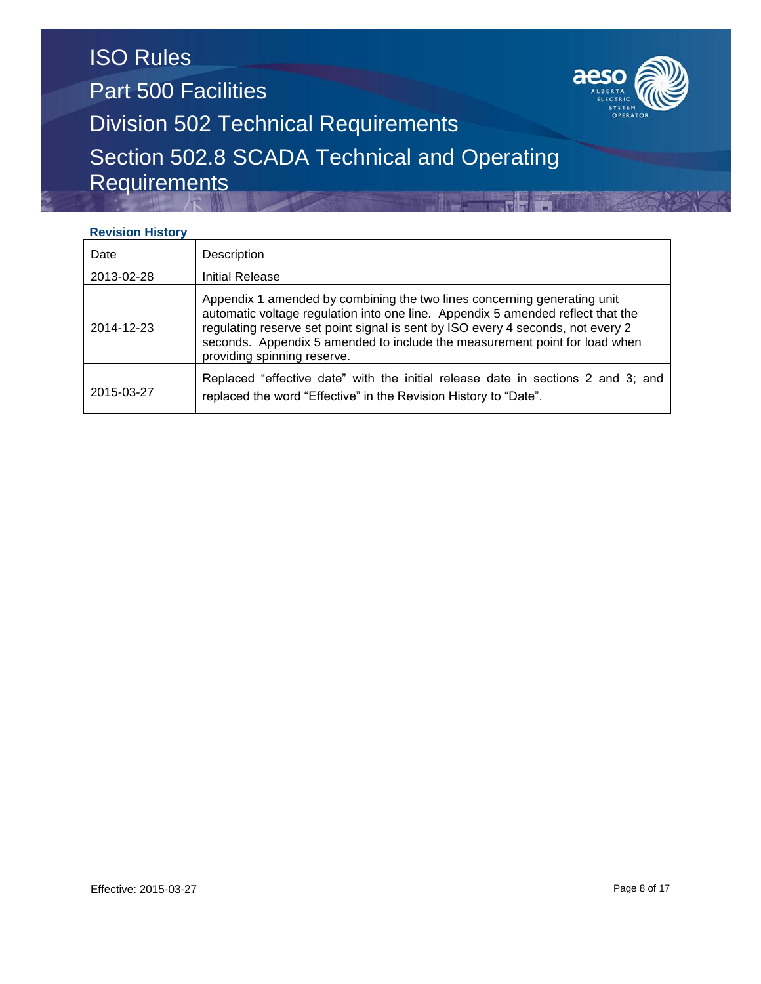

### **Revision History**

| Date       | Description                                                                                                                                                                                                                                                                                                                                                 |
|------------|-------------------------------------------------------------------------------------------------------------------------------------------------------------------------------------------------------------------------------------------------------------------------------------------------------------------------------------------------------------|
| 2013-02-28 | Initial Release                                                                                                                                                                                                                                                                                                                                             |
| 2014-12-23 | Appendix 1 amended by combining the two lines concerning generating unit<br>automatic voltage regulation into one line. Appendix 5 amended reflect that the<br>regulating reserve set point signal is sent by ISO every 4 seconds, not every 2<br>seconds. Appendix 5 amended to include the measurement point for load when<br>providing spinning reserve. |
| 2015-03-27 | Replaced "effective date" with the initial release date in sections 2 and 3; and<br>replaced the word "Effective" in the Revision History to "Date".                                                                                                                                                                                                        |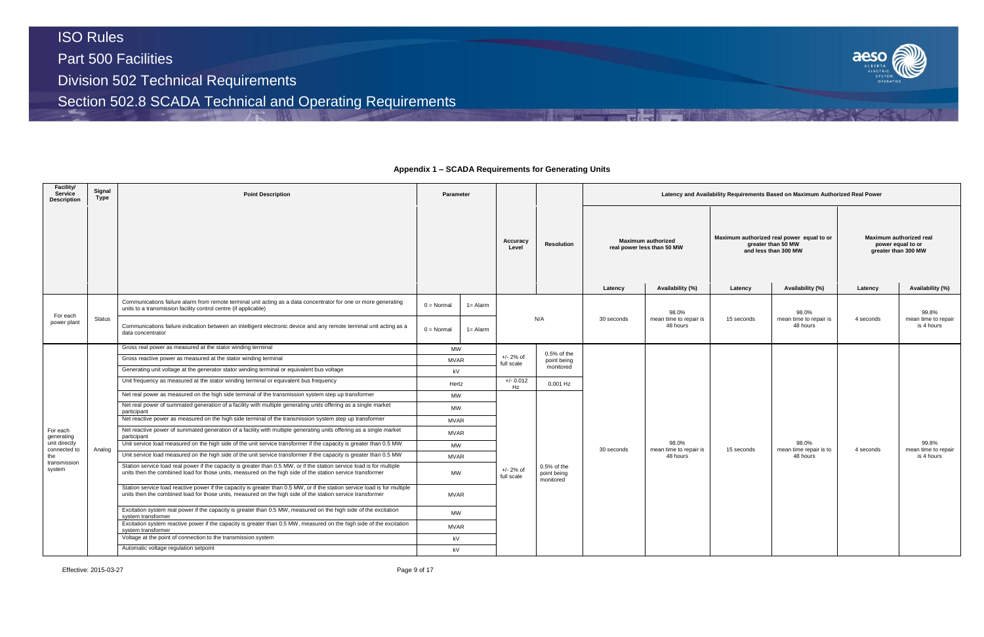Part 500 Facilities

Division 502 Technical Requirements

Section 502.8 SCADA Technical and Operating Requirements

#### **Facility/ Service Description Signal Type Point Description Parameter Latency and Availability Requirements Based on Maximum Authorized Real Power Accuracy Level Resolution Maximum authorized real power less than 50 MW Latency Availability (%) Latency Availability (%) Latency Availability (%)** For each power plant Status Communications failure alarm from remote terminal unit acting as a data concentrator for one or more generating Unity communications failure alarm from remote terminal unit acting as a data concentrator for one or more generating  $0 = \text{Normal} \left( 1 = \text{Adam} \right)$ <br>units to a transmission facility control centre (if applicable) N/A 30 seconds 98.0% mean time to repair is 48 hours Communications failure indication between an intelligent electronic device and any remote terminal unit acting as a data concentrator 0 = Normal 1= Alarm For each generating unit directly connected to the transmission system Analog Gross real power as measured at the stator winding terminal MW +/- 2% of full scale 0.5% of the point being monitored 30 seconds 98.0% mean time to repair is 48 hours Gross reactive power as measured at the stator winding terminal MVAR Generating unit voltage at the generator stator winding terminal or equivalent bus voltage kV kV Unit frequency as measured at the stator winding terminal or equivalent bus frequency Hertz +/- 0.012<br>Hertz Hz 0.001 Hz Net real power as measured on the high side terminal of the transmission system step up transformer MW +/- 2% of full scale 0.5% of the point being .<br>monitored Net real power of summated generation of a facility with multiple generating units offering as a single market participant MW Net reactive power as measured on the high side terminal of the transmission system step up transformer MVAR Net reactive power of summated generation of a facility with multiple generating units offering as a single market participant MVAR Unit service load measured on the high side of the unit service transformer if the capacity is greater than 0.5 MW Unit service load measured on the high side of the unit service transformer if the capacity is greater than 0.5 MW MVAR Station service load real power if the capacity is greater than 0.5 MW, or if the station service load is for multiple units then the combined load for those units, measured on the high side of the station service transformer MW Station service load reactive power if the capacity is greater than 0.5 MW, or if the station service load is for multiple units then the combined load for those units, measured on the high side of the station service transformer MVAR Excitation system real power if the capacity is greater than 0.5 MW, measured on the high side of the excitation<br>system transformer Excitation system reactive power if the capacity is greater than 0.5 MW, measured on the high side of the excitation system transformer MVAR Voltage at the point of connection to the transmission system **ky** and the transmission system **ky**  $kV$ Automatic voltage regulation setpoint **and the contract of the contract of the contract of the contract of the contract of the contract of the contract of the contract of the contract of the contract of the contract of the**

Effective: 2015-03-27 Page 9 of 17



### **Appendix 1 – SCADA Requirements for Generating Units**

|            | vility Requirements Based on Maximum Authorized Real Power                              |                                                |                                            |
|------------|-----------------------------------------------------------------------------------------|------------------------------------------------|--------------------------------------------|
|            | Maximum authorized real power equal to or<br>greater than 50 MW<br>and less than 300 MW | Maximum authorized real<br>greater than 300 MW | power equal to or                          |
| Latency    | Availability (%)                                                                        | Latency                                        | Availability (%)                           |
| 15 seconds | 98.0%<br>mean time to repair is<br>48 hours                                             | 4 seconds                                      | 99.8%<br>mean time to repair<br>is 4 hours |
| 15 seconds | 98.0%<br>mean time repair is to<br>48 hours                                             | 4 seconds                                      | 99.8%<br>mean time to repair<br>is 4 hours |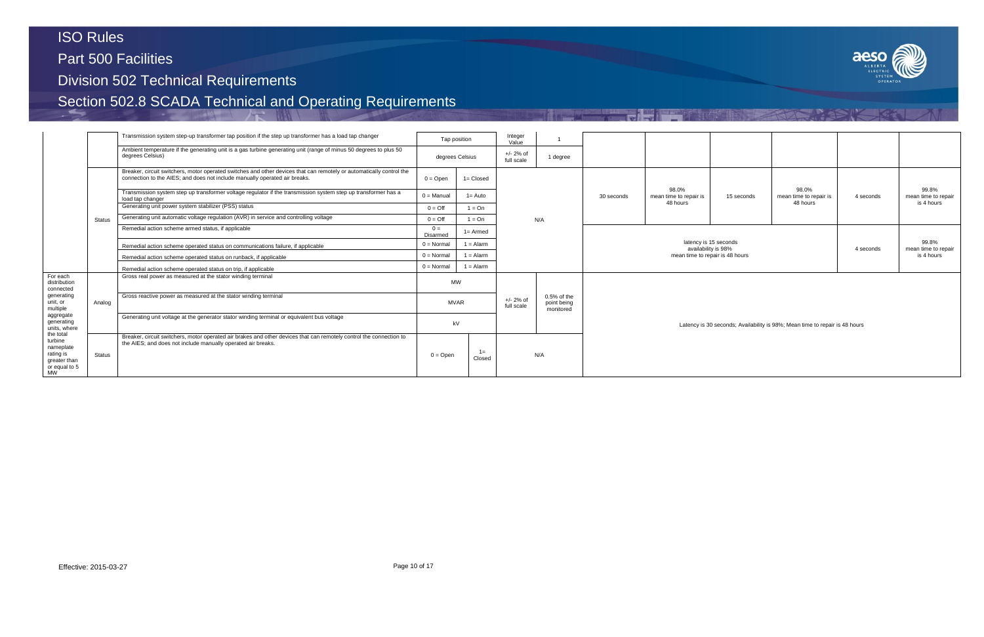Part 500 Facilities

Division 502 Technical Requirements

|                                                                                              |                                                                                 | Transmission system step-up transformer tap position if the step up transformer has a load tap changer                                                                                             |                     | Tap position                              | Integer<br>Value                      |                                           |                     |                                             |            |                                                                             |                              |                                            |
|----------------------------------------------------------------------------------------------|---------------------------------------------------------------------------------|----------------------------------------------------------------------------------------------------------------------------------------------------------------------------------------------------|---------------------|-------------------------------------------|---------------------------------------|-------------------------------------------|---------------------|---------------------------------------------|------------|-----------------------------------------------------------------------------|------------------------------|--------------------------------------------|
|                                                                                              |                                                                                 | Ambient temperature if the generating unit is a gas turbine generating unit (range of minus 50 degrees to plus 50<br>degrees Celsius)                                                              |                     | degrees Celsius                           | $+/- 2%$ of<br>1 degree<br>full scale |                                           |                     |                                             |            |                                                                             |                              |                                            |
|                                                                                              |                                                                                 | Breaker, circuit switchers, motor operated switches and other devices that can remotely or automatically control the<br>connection to the AIES; and does not include manually operated air breaks. | $0 =$ Open          | $1 = Closed$                              |                                       |                                           |                     |                                             |            |                                                                             |                              |                                            |
|                                                                                              |                                                                                 | Transmission system step up transformer voltage regulator if the transmission system step up transformer has a<br>load tap changer                                                                 | $0 =$ Manual        | $1 =$ Auto                                |                                       |                                           | 30 seconds          | 98.0%<br>mean time to repair is<br>48 hours | 15 seconds | 98.0%<br>mean time to repair is<br>48 hours                                 | 4 seconds                    | 99.8%<br>mean time to repair<br>is 4 hours |
|                                                                                              |                                                                                 | Generating unit power system stabilizer (PSS) status                                                                                                                                               | $0 = \text{Off}$    | $1 = On$                                  |                                       |                                           |                     |                                             |            |                                                                             |                              |                                            |
|                                                                                              | <b>Status</b>                                                                   | Generating unit automatic voltage regulation (AVR) in service and controlling voltage                                                                                                              | $0 = \text{Off}$    | $1 = On$                                  |                                       | N/A                                       |                     |                                             |            |                                                                             |                              |                                            |
|                                                                                              |                                                                                 | Remedial action scheme armed status, if applicable                                                                                                                                                 | $0 =$<br>Disarmed   | $1 =$ Armed                               |                                       |                                           |                     |                                             |            |                                                                             |                              |                                            |
|                                                                                              | Remedial action scheme operated status on communications failure, if applicable | $0 = \text{Normal}$                                                                                                                                                                                | $1 =$ Alarm         |                                           |                                       |                                           | availability is 98% | latency is 15 seconds                       |            | 4 seconds                                                                   | 99.8%<br>mean time to repair |                                            |
|                                                                                              | Remedial action scheme operated status on runback, if applicable                | $0 = \text{Normal}$                                                                                                                                                                                | $1 =$ Alarm         |                                           |                                       |                                           |                     | mean time to repair is 48 hours             |            |                                                                             | is 4 hours                   |                                            |
|                                                                                              |                                                                                 | Remedial action scheme operated status on trip, if applicable                                                                                                                                      | $0 = \text{Normal}$ | $1 =$ Alarm                               |                                       |                                           |                     |                                             |            |                                                                             |                              |                                            |
| For each<br>distribution<br>connected                                                        |                                                                                 | Gross real power as measured at the stator winding terminal                                                                                                                                        |                     | <b>MW</b>                                 |                                       |                                           |                     |                                             |            |                                                                             |                              |                                            |
| generating<br>unit, or<br>multiple                                                           | Analog                                                                          | Gross reactive power as measured at the stator winding terminal                                                                                                                                    |                     | $+/- 2\%$ of<br><b>MVAR</b><br>full scale |                                       | $0.5%$ of the<br>point being<br>monitored |                     |                                             |            |                                                                             |                              |                                            |
| aggregate<br>generating<br>units, where                                                      |                                                                                 | Generating unit voltage at the generator stator winding terminal or equivalent bus voltage                                                                                                         |                     | kV                                        |                                       |                                           |                     |                                             |            | Latency is 30 seconds; Availability is 98%; Mean time to repair is 48 hours |                              |                                            |
| the total<br>turbine<br>nameplate<br>rating is<br>greater than<br>or equal to 5<br><b>MW</b> | <b>Status</b>                                                                   | Breaker, circuit switchers, motor operated air brakes and other devices that can remotely control the connection to<br>the AIES; and does not include manually operated air breaks.                | $0 =$ Open          | $1 =$<br>Closed                           |                                       | N/A                                       |                     |                                             |            |                                                                             |                              |                                            |

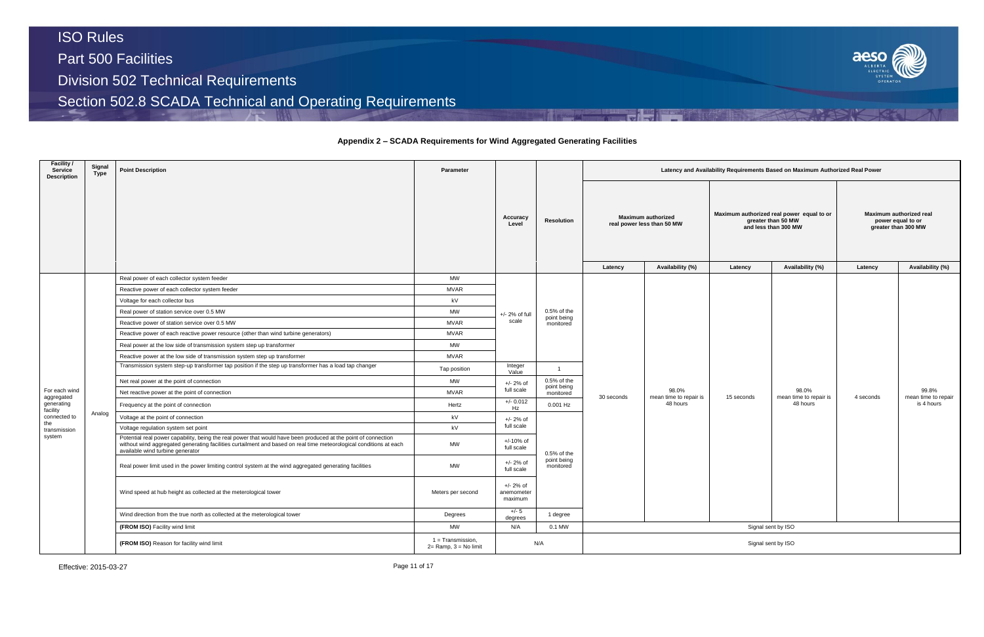### **Appendix 2 – SCADA Requirements for Wind Aggregated Generating Facilities**

| Facility /<br>Service<br><b>Description</b> | Signal<br>Type | <b>Point Description</b>                                                                                                                                                                                                                                                 | Parameter                                     |                                      |                              | Latency and Availability Requirements Based on Maximum Authorized Real Power |                                                         |                                                                                         |                                             |                                                                     |                              |  |
|---------------------------------------------|----------------|--------------------------------------------------------------------------------------------------------------------------------------------------------------------------------------------------------------------------------------------------------------------------|-----------------------------------------------|--------------------------------------|------------------------------|------------------------------------------------------------------------------|---------------------------------------------------------|-----------------------------------------------------------------------------------------|---------------------------------------------|---------------------------------------------------------------------|------------------------------|--|
|                                             |                |                                                                                                                                                                                                                                                                          |                                               | Accuracy<br>Level                    | <b>Resolution</b>            |                                                                              | <b>Maximum authorized</b><br>real power less than 50 MW | Maximum authorized real power equal to or<br>greater than 50 MW<br>and less than 300 MW |                                             | Maximum authorized real<br>power equal to or<br>greater than 300 MW |                              |  |
|                                             |                |                                                                                                                                                                                                                                                                          |                                               |                                      |                              | Latency                                                                      | Availability (%)                                        | Latency                                                                                 | Availability (%)                            | Latency                                                             | Availability (%)             |  |
|                                             |                | Real power of each collector system feeder                                                                                                                                                                                                                               | MW                                            |                                      |                              |                                                                              |                                                         |                                                                                         |                                             |                                                                     |                              |  |
|                                             |                | Reactive power of each collector system feeder                                                                                                                                                                                                                           | <b>MVAR</b>                                   |                                      |                              |                                                                              |                                                         |                                                                                         |                                             |                                                                     |                              |  |
|                                             |                | Voltage for each collector bus                                                                                                                                                                                                                                           | kV                                            | +/- 2% of full<br>scale              |                              |                                                                              |                                                         |                                                                                         |                                             |                                                                     |                              |  |
|                                             |                | Real power of station service over 0.5 MW                                                                                                                                                                                                                                | <b>MW</b>                                     |                                      | $0.5%$ of the<br>point being |                                                                              |                                                         |                                                                                         |                                             |                                                                     |                              |  |
|                                             |                | Reactive power of station service over 0.5 MW                                                                                                                                                                                                                            | <b>MVAR</b>                                   |                                      | monitored                    |                                                                              |                                                         |                                                                                         |                                             |                                                                     |                              |  |
|                                             |                | Reactive power of each reactive power resource (other than wind turbine generators)                                                                                                                                                                                      | <b>MVAR</b>                                   |                                      |                              |                                                                              |                                                         |                                                                                         |                                             | 4 seconds                                                           |                              |  |
|                                             |                | Real power at the low side of transmission system step up transformer                                                                                                                                                                                                    | <b>MW</b>                                     |                                      |                              |                                                                              |                                                         |                                                                                         |                                             |                                                                     |                              |  |
|                                             |                | Reactive power at the low side of transmission system step up transformer                                                                                                                                                                                                | <b>MVAR</b>                                   |                                      |                              |                                                                              |                                                         |                                                                                         |                                             |                                                                     |                              |  |
|                                             |                | Transmission system step-up transformer tap position if the step up transformer has a load tap changer                                                                                                                                                                   | Tap position                                  | Integer<br>Value                     | $\mathbf{1}$                 |                                                                              |                                                         |                                                                                         |                                             |                                                                     | 99.8%<br>mean time to repair |  |
|                                             |                | Net real power at the point of connection                                                                                                                                                                                                                                | MW                                            | +/- 2% of                            | $0.5%$ of the                |                                                                              |                                                         |                                                                                         |                                             |                                                                     |                              |  |
| For each wind                               |                | Net reactive power at the point of connection                                                                                                                                                                                                                            | <b>MVAR</b>                                   | full scale                           | point being<br>monitored     | 30 seconds                                                                   | 98.0%<br>mean time to repair is<br>48 hours             | 15 seconds                                                                              | 98.0%<br>mean time to repair is<br>48 hours |                                                                     |                              |  |
| aggregated<br>generating<br>facility        |                | Frequency at the point of connection                                                                                                                                                                                                                                     | Hertz                                         | $+/- 0.012$<br>Hz                    | 0.001 Hz                     |                                                                              |                                                         |                                                                                         |                                             |                                                                     | is 4 hours                   |  |
| connected to                                | Analog         | Voltage at the point of connection                                                                                                                                                                                                                                       | kV                                            | $+/- 2%$ of                          |                              |                                                                              |                                                         |                                                                                         |                                             |                                                                     |                              |  |
| the<br>transmission                         |                | Voltage regulation system set point                                                                                                                                                                                                                                      | kV                                            | full scale                           |                              |                                                                              |                                                         |                                                                                         |                                             |                                                                     |                              |  |
| system                                      |                | Potential real power capability, being the real power that would have been produced at the point of connection<br>without wind aggregated generating facilities curtailment and based on real time meteorological conditions at each<br>available wind turbine generator | <b>MW</b>                                     | $+/-10%$ of<br>full scale            | $0.5%$ of the                |                                                                              |                                                         |                                                                                         |                                             |                                                                     |                              |  |
|                                             |                | Real power limit used in the power limiting control system at the wind aggregated generating facilities                                                                                                                                                                  | <b>MW</b>                                     | $+/- 2%$ of<br>full scale            | point being<br>monitored     |                                                                              |                                                         |                                                                                         |                                             |                                                                     |                              |  |
|                                             |                | Wind speed at hub height as collected at the meterological tower                                                                                                                                                                                                         | Meters per second                             | $+/- 2%$ of<br>anemometer<br>maximum |                              |                                                                              |                                                         |                                                                                         |                                             |                                                                     |                              |  |
|                                             |                | Wind direction from the true north as collected at the meterological tower                                                                                                                                                                                               | Degrees                                       | +/- 5<br>degrees                     | 1 degree                     |                                                                              |                                                         |                                                                                         |                                             |                                                                     |                              |  |
|                                             |                | (FROM ISO) Facility wind limit                                                                                                                                                                                                                                           | MW                                            | N/A                                  | 0.1 MW                       |                                                                              |                                                         |                                                                                         | Signal sent by ISO                          |                                                                     |                              |  |
|                                             |                | (FROM ISO) Reason for facility wind limit                                                                                                                                                                                                                                | 1 = Transmission,<br>$2=$ Ramp, $3=$ No limit | N/A                                  |                              | Signal sent by ISO                                                           |                                                         |                                                                                         |                                             |                                                                     |                              |  |

Effective: 2015-03-27 Page 11 of 17

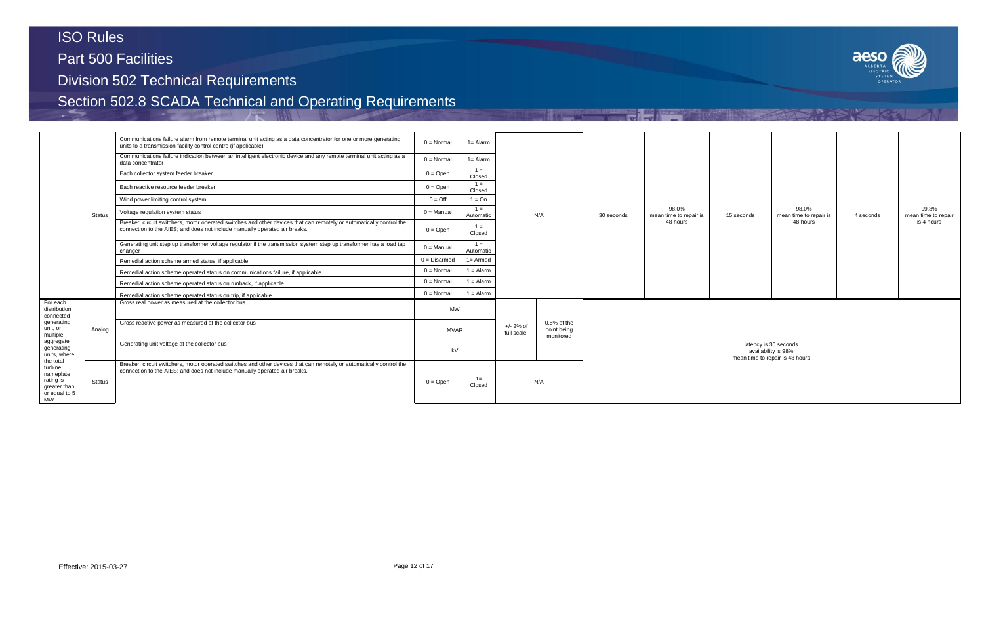Part 500 Facilities

Division 502 Technical Requirements



|                                                                                                                                         |                                                                                                                                                                                                                     | Communications failure alarm from remote terminal unit acting as a data concentrator for one or more generating<br>units to a transmission facility control centre (if applicable)                 | $0 = \text{Normal}$ | $1 =$ Alarm        |                           |                                           |          |                                 |  |
|-----------------------------------------------------------------------------------------------------------------------------------------|---------------------------------------------------------------------------------------------------------------------------------------------------------------------------------------------------------------------|----------------------------------------------------------------------------------------------------------------------------------------------------------------------------------------------------|---------------------|--------------------|---------------------------|-------------------------------------------|----------|---------------------------------|--|
|                                                                                                                                         |                                                                                                                                                                                                                     | Communications failure indication between an intelligent electronic device and any remote terminal unit acting as a<br>data concentrator                                                           | $0 = \text{Normal}$ | $1 =$ Alarm        |                           |                                           |          |                                 |  |
|                                                                                                                                         |                                                                                                                                                                                                                     | Each collector system feeder breaker                                                                                                                                                               | $0 = Open$          | $1 =$<br>Closed    |                           |                                           |          |                                 |  |
|                                                                                                                                         |                                                                                                                                                                                                                     | Each reactive resource feeder breaker                                                                                                                                                              | $0 =$ Open          | $1 =$<br>Closed    |                           |                                           |          |                                 |  |
|                                                                                                                                         |                                                                                                                                                                                                                     | Wind power limiting control system                                                                                                                                                                 | $0 = \text{Off}$    | $1 = On$           |                           |                                           |          |                                 |  |
|                                                                                                                                         | <b>Status</b>                                                                                                                                                                                                       | Voltage regulation system status                                                                                                                                                                   | $0 =$ Manual        | $1 =$<br>Automatic | N/A<br>30 seconds         |                                           |          | 98.0%<br>mean time to repair is |  |
|                                                                                                                                         |                                                                                                                                                                                                                     | Breaker, circuit switchers, motor operated switches and other devices that can remotely or automatically control the<br>connection to the AIES; and does not include manually operated air breaks. | $0 = Open$          | $1 =$<br>Closed    |                           |                                           | 48 hours |                                 |  |
|                                                                                                                                         |                                                                                                                                                                                                                     | Generating unit step up transformer voltage regulator if the transmission system step up transformer has a load tap<br>changer                                                                     |                     | $1 =$<br>Automatic |                           |                                           |          |                                 |  |
|                                                                                                                                         |                                                                                                                                                                                                                     | Remedial action scheme armed status, if applicable                                                                                                                                                 | $0 = Disarmed$      | $1 =$ Armed        |                           |                                           |          |                                 |  |
|                                                                                                                                         |                                                                                                                                                                                                                     | Remedial action scheme operated status on communications failure, if applicable                                                                                                                    | $0 = \text{Normal}$ | $1 =$ Alarm        |                           |                                           |          |                                 |  |
|                                                                                                                                         |                                                                                                                                                                                                                     | Remedial action scheme operated status on runback, if applicable                                                                                                                                   | $0 = \text{Normal}$ | $1 =$ Alarm        |                           |                                           |          |                                 |  |
|                                                                                                                                         |                                                                                                                                                                                                                     | Remedial action scheme operated status on trip, if applicable                                                                                                                                      |                     | $1 =$ Alarm        |                           |                                           |          |                                 |  |
| For each<br>distribution<br>connected                                                                                                   |                                                                                                                                                                                                                     | Gross real power as measured at the collector bus                                                                                                                                                  | <b>MW</b>           |                    |                           |                                           |          |                                 |  |
| generating<br>unit, or<br>multiple                                                                                                      | Analog                                                                                                                                                                                                              | Gross reactive power as measured at the collector bus                                                                                                                                              | <b>MVAR</b>         |                    | $+/- 2%$ of<br>full scale | $0.5%$ of the<br>point being<br>monitored |          |                                 |  |
| aggregate<br>generating<br>units, where<br>the total<br>turbine<br>nameplate<br>rating is<br>greater than<br>or equal to 5<br><b>MW</b> |                                                                                                                                                                                                                     | Generating unit voltage at the collector bus                                                                                                                                                       | kV                  |                    |                           |                                           |          |                                 |  |
|                                                                                                                                         | Breaker, circuit switchers, motor operated switches and other devices that can remotely or automatically control the<br>connection to the AIES; and does not include manually operated air breaks.<br><b>Status</b> |                                                                                                                                                                                                    | $0 = Open$          | $1 =$<br>Closed    |                           | N/A                                       |          |                                 |  |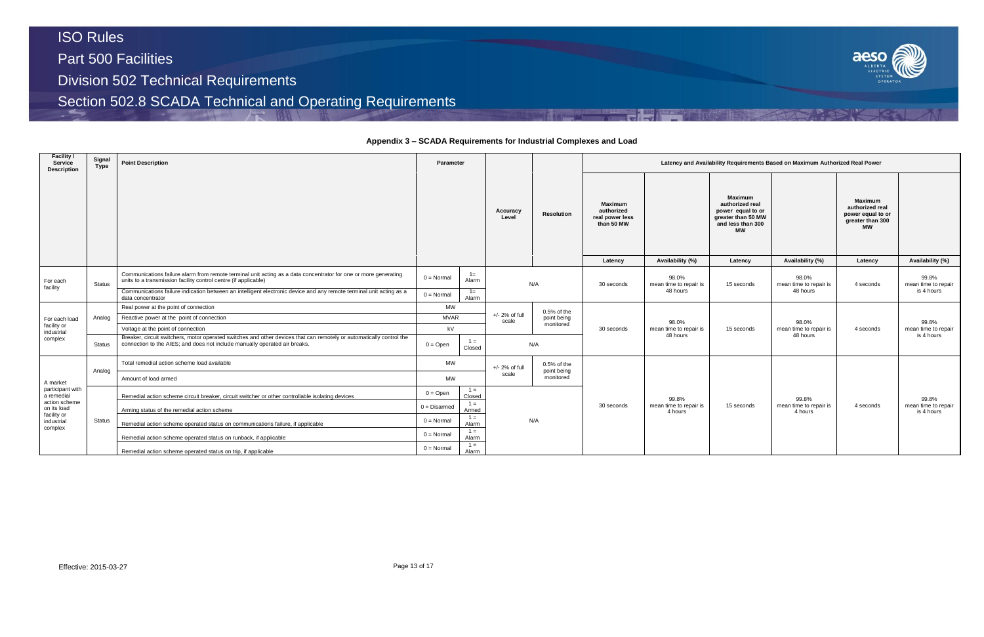### **Appendix 3 – SCADA Requirements for Industrial Complexes and Load**

| Facility /<br>Service<br>Description | Signal<br>Type | <b>Point Description</b>                                                                                                                                                                           | <b>Parameter</b>    |                 |                           |                              |                                                                          |                                    |                                                                                                                           | Latency and Availability Requirements Based on Maximum Authorized Real Power |                                                                                                    |                                   |
|--------------------------------------|----------------|----------------------------------------------------------------------------------------------------------------------------------------------------------------------------------------------------|---------------------|-----------------|---------------------------|------------------------------|--------------------------------------------------------------------------|------------------------------------|---------------------------------------------------------------------------------------------------------------------------|------------------------------------------------------------------------------|----------------------------------------------------------------------------------------------------|-----------------------------------|
|                                      |                |                                                                                                                                                                                                    |                     |                 |                           | <b>Resolution</b>            | <b>Maximum</b><br>authorized<br>real power less<br>than 50 MW<br>Latency | Availability (%)                   | <b>Maximum</b><br>authorized real<br>power equal to or<br>greater than 50 MW<br>and less than 300<br><b>MW</b><br>Latency | Availability (%)                                                             | <b>Maximum</b><br>authorized real<br>power equal to or<br>greater than 300<br><b>MW</b><br>Latency | Availability (%)                  |
| For each                             | <b>Status</b>  | Communications failure alarm from remote terminal unit acting as a data concentrator for one or more generating<br>units to a transmission facility control centre (if applicable)                 | $0 = \text{Normal}$ | $1 =$<br>Alarm  |                           | N/A                          | 30 seconds                                                               | 98.0%<br>mean time to repair is    | 15 seconds                                                                                                                | 98.0%<br>mean time to repair is                                              | 4 seconds                                                                                          | 99.8%<br>mean time to repair      |
| facility                             |                | Communications failure indication between an intelligent electronic device and any remote terminal unit acting as a<br>data concentrator                                                           | $0 = Normal$        | $1 =$<br>Alarm  |                           |                              |                                                                          | 48 hours                           |                                                                                                                           | 48 hours                                                                     |                                                                                                    | is 4 hours                        |
|                                      |                | Real power at the point of connection                                                                                                                                                              |                     | <b>MW</b>       |                           | $0.5%$ of the                |                                                                          |                                    |                                                                                                                           |                                                                              |                                                                                                    |                                   |
| For each load                        | Analog         | Reactive power at the point of connection                                                                                                                                                          | <b>MVAR</b>         |                 | $+/- 2%$ of full<br>scale | point being                  |                                                                          | 98.0%                              |                                                                                                                           | 98.0%                                                                        |                                                                                                    | 99.8%                             |
| facility or<br>industrial            |                | Voltage at the point of connection                                                                                                                                                                 | kV                  |                 |                           | monitored                    | 30 seconds                                                               | mean time to repair is<br>48 hours | 15 seconds                                                                                                                | mean time to repair is<br>48 hours                                           | 4 seconds                                                                                          | mean time to repair<br>is 4 hours |
| complex                              | <b>Status</b>  | Breaker, circuit switchers, motor operated switches and other devices that can remotely or automatically control the<br>connection to the AIES; and does not include manually operated air breaks. | $0 =$ Open          | $1 =$<br>Closed |                           | N/A                          |                                                                          |                                    |                                                                                                                           |                                                                              |                                                                                                    |                                   |
|                                      | Analog         | Total remedial action scheme load available                                                                                                                                                        | <b>MW</b>           |                 | $+/- 2%$ of full          | $0.5%$ of the<br>point being |                                                                          |                                    |                                                                                                                           |                                                                              |                                                                                                    |                                   |
| A market                             |                | Amount of load armed                                                                                                                                                                               | <b>MW</b>           |                 | scale                     | monitored                    |                                                                          |                                    |                                                                                                                           |                                                                              |                                                                                                    |                                   |
| participant with<br>a remedial       |                | Remedial action scheme circuit breaker, circuit switcher or other controllable isolating devices                                                                                                   | $0 =$ Open          | $1 =$<br>Closed |                           |                              |                                                                          | 99.8%                              |                                                                                                                           | 99.8%                                                                        |                                                                                                    | 99.8%                             |
| action scheme<br>on its load         |                | Arming status of the remedial action scheme                                                                                                                                                        | $0 = Disarmed$      | $1 =$<br>Armed  |                           |                              | 30 seconds                                                               | mean time to repair is<br>4 hours  | 15 seconds                                                                                                                | mean time to repair is<br>4 hours                                            | 4 seconds                                                                                          | mean time to repair<br>is 4 hours |
| facility or<br>industrial            | Status         | Remedial action scheme operated status on communications failure, if applicable                                                                                                                    | $0 = Normal$        | $1 =$<br>Alarm  |                           | N/A                          |                                                                          |                                    |                                                                                                                           |                                                                              |                                                                                                    |                                   |
| complex                              |                | Remedial action scheme operated status on runback, if applicable                                                                                                                                   | $0 = Normal$        | $1 =$<br>Alarm  |                           |                              |                                                                          |                                    |                                                                                                                           |                                                                              |                                                                                                    |                                   |
|                                      |                | Remedial action scheme operated status on trip, if applicable                                                                                                                                      | $0 = Normal$        | $1 =$<br>Alarm  |                           |                              |                                                                          |                                    |                                                                                                                           |                                                                              |                                                                                                    |                                   |

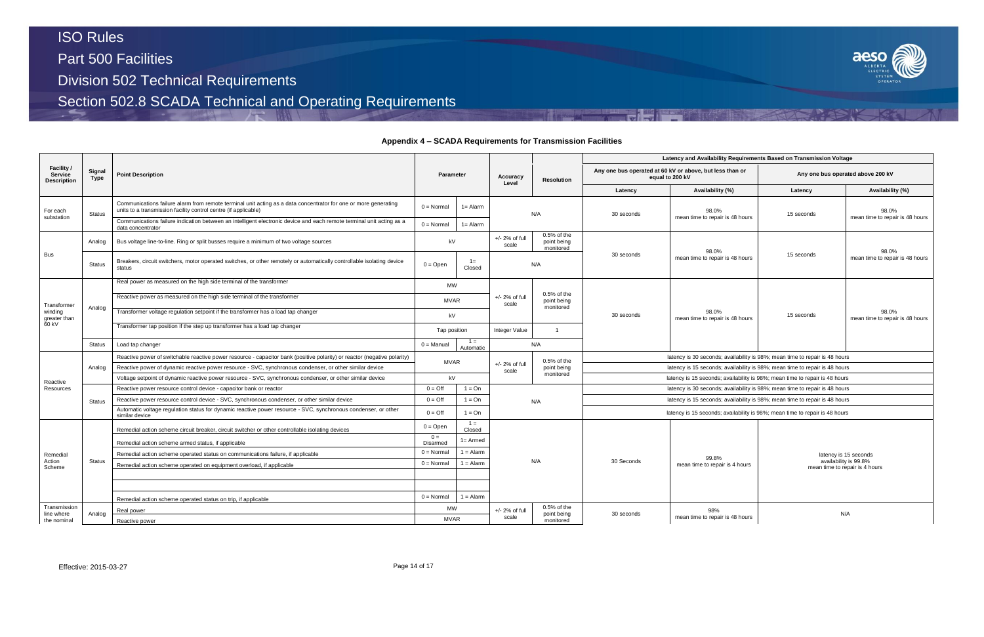Part 500 Facilities

Division 502 Technical Requirements

Section 502.8 SCADA Technical and Operating Requirements

### **Appendix 4 – SCADA Requirements for Transmission Facilities**



|                                                    |                |                                                                                                                                                                                    |                      |                    |                            |                                         |                                                                             | Latency and Availability Requirements Based on Transmission Voltage         |            |                                                         |  |  |
|----------------------------------------------------|----------------|------------------------------------------------------------------------------------------------------------------------------------------------------------------------------------|----------------------|--------------------|----------------------------|-----------------------------------------|-----------------------------------------------------------------------------|-----------------------------------------------------------------------------|------------|---------------------------------------------------------|--|--|
| Facility /<br><b>Service</b><br><b>Description</b> | Signal<br>Type | <b>Point Description</b>                                                                                                                                                           | <b>Parameter</b>     |                    | Accuracy<br>Level          | <b>Resolution</b>                       |                                                                             | Any one bus operated at 60 kV or above, but less than or<br>equal to 200 kV |            | Any one bus operated above 200 kV                       |  |  |
|                                                    |                |                                                                                                                                                                                    |                      |                    |                            |                                         | Latency                                                                     | Availability (%)                                                            | Latency    | Availability (%)                                        |  |  |
| For each                                           | <b>Status</b>  | Communications failure alarm from remote terminal unit acting as a data concentrator for one or more generating<br>units to a transmission facility control centre (if applicable) | $0 = Normal$         | $1 =$ Alarm        |                            | N/A                                     | 30 seconds                                                                  | 98.0%<br>mean time to repair is 48 hours                                    | 15 seconds | 98.0%<br>mean time to repair is 48 hours                |  |  |
| substation                                         |                | Communications failure indication between an intelligent electronic device and each remote terminal unit acting as a<br>data concentrator                                          | $0 = \text{Normal}$  | $1 =$ Alarm        |                            |                                         |                                                                             |                                                                             |            |                                                         |  |  |
|                                                    | Analog         | Bus voltage line-to-line. Ring or split busses require a minimum of two voltage sources                                                                                            | kV                   |                    | $+/- 2%$ of full<br>scale  | 0.5% of the<br>point being<br>monitored |                                                                             | 98.0%                                                                       |            | 98.0%                                                   |  |  |
| <b>Bus</b>                                         | <b>Status</b>  | Breakers, circuit switchers, motor operated switches, or other remotely or automatically controllable isolating device<br>status                                                   | $0 = Open$           | $1 =$<br>Closed    |                            | N/A                                     | 30 seconds                                                                  | mean time to repair is 48 hours                                             | 15 seconds | mean time to repair is 48 hours                         |  |  |
|                                                    |                | Real power as measured on the high side terminal of the transformer                                                                                                                | <b>MW</b>            |                    |                            |                                         |                                                                             |                                                                             |            |                                                         |  |  |
| Transformer                                        | Analog         | Reactive power as measured on the high side terminal of the transformer                                                                                                            | <b>MVAR</b>          |                    | $+/- 2%$ of full<br>scale  | 0.5% of the<br>point being<br>monitored |                                                                             |                                                                             |            |                                                         |  |  |
| winding<br>greater than                            |                | Transformer voltage regulation setpoint if the transformer has a load tap changer                                                                                                  | kV                   |                    |                            |                                         | 30 seconds                                                                  | 98.0%<br>mean time to repair is 48 hours                                    | 15 seconds | 98.0%<br>mean time to repair is 48 hours                |  |  |
| 60 kV                                              |                | Transformer tap position if the step up transformer has a load tap changer                                                                                                         | Tap position         |                    | Integer Value              | $\overline{1}$                          |                                                                             |                                                                             |            |                                                         |  |  |
|                                                    | Status         | Load tap changer                                                                                                                                                                   | $0 =$ Manual         | $1 =$<br>Automatic |                            | N/A                                     |                                                                             |                                                                             |            |                                                         |  |  |
|                                                    |                | Reactive power of switchable reactive power resource - capacitor bank (positive polarity) or reactor (negative polarity)                                                           | <b>MVAR</b>          |                    |                            | $0.5%$ of the                           |                                                                             | latency is 30 seconds; availability is 98%; mean time to repair is 48 hours |            |                                                         |  |  |
|                                                    | Analog         | Reactive power of dynamic reactive power resource - SVC, synchronous condenser, or other similar device                                                                            |                      |                    | $+/- 2\%$ of full<br>scale | point being                             | latency is 15 seconds; availability is 98%; mean time to repair is 48 hours |                                                                             |            |                                                         |  |  |
| Reactive                                           |                | Voltage setpoint of dynamic reactive power resource - SVC, synchronous condenser, or other similar device                                                                          | kV                   |                    |                            | monitored                               |                                                                             | latency is 15 seconds; availability is 98%; mean time to repair is 48 hours |            |                                                         |  |  |
| Resources                                          |                | Reactive power resource control device - capacitor bank or reactor                                                                                                                 | $0 = \text{Off}$     | $1 = On$           |                            |                                         |                                                                             | latency is 30 seconds; availability is 98%; mean time to repair is 48 hours |            |                                                         |  |  |
|                                                    | <b>Status</b>  | Reactive power resource control device - SVC, synchronous condenser, or other similar device                                                                                       | $0 = \text{Off}$     | $1 = On$           |                            | N/A                                     |                                                                             | latency is 15 seconds; availability is 98%; mean time to repair is 48 hours |            |                                                         |  |  |
|                                                    |                | Automatic voltage regulation status for dynamic reactive power resource - SVC, synchronous condenser, or other<br>similar device                                                   | $0 = \text{Off}$     | $1 = On$           |                            |                                         |                                                                             | latency is 15 seconds; availability is 98%; mean time to repair is 48 hours |            |                                                         |  |  |
|                                                    |                | Remedial action scheme circuit breaker, circuit switcher or other controllable isolating devices                                                                                   | $0 = Open$           | $1 =$<br>Closed    |                            |                                         |                                                                             |                                                                             |            |                                                         |  |  |
|                                                    |                | Remedial action scheme armed status, if applicable                                                                                                                                 | $0 =$<br>Disarmed    | $1 =$ Armed        |                            |                                         |                                                                             |                                                                             |            |                                                         |  |  |
| Remedial                                           |                | Remedial action scheme operated status on communications failure, if applicable                                                                                                    | $0 = \text{Normal}$  | $1 =$ Alarm        |                            |                                         |                                                                             | 99.8%                                                                       |            | latency is 15 seconds                                   |  |  |
| Action<br>Scheme                                   | <b>Status</b>  | Remedial action scheme operated on equipment overload, if applicable                                                                                                               | $0 = Normal$         | $1 =$ Alarm        |                            | N/A                                     | 30 Seconds                                                                  | mean time to repair is 4 hours                                              |            | availability is 99.8%<br>mean time to repair is 4 hours |  |  |
|                                                    |                |                                                                                                                                                                                    |                      |                    |                            |                                         |                                                                             |                                                                             |            |                                                         |  |  |
|                                                    |                | Remedial action scheme operated status on trip, if applicable                                                                                                                      | $0 = Normal$         | $1 =$ Alarm        |                            |                                         |                                                                             |                                                                             |            |                                                         |  |  |
| Transmission                                       |                | Real power                                                                                                                                                                         | <b>MW</b>            |                    | $+/- 2%$ of full           | $0.5%$ of the                           |                                                                             | 98%                                                                         |            | N/A                                                     |  |  |
| line where<br>the nominal                          | Analog         | Reactive power                                                                                                                                                                     | scale<br><b>MVAR</b> |                    | point being<br>monitored   | 30 seconds                              | mean time to repair is 48 hours                                             |                                                                             |            |                                                         |  |  |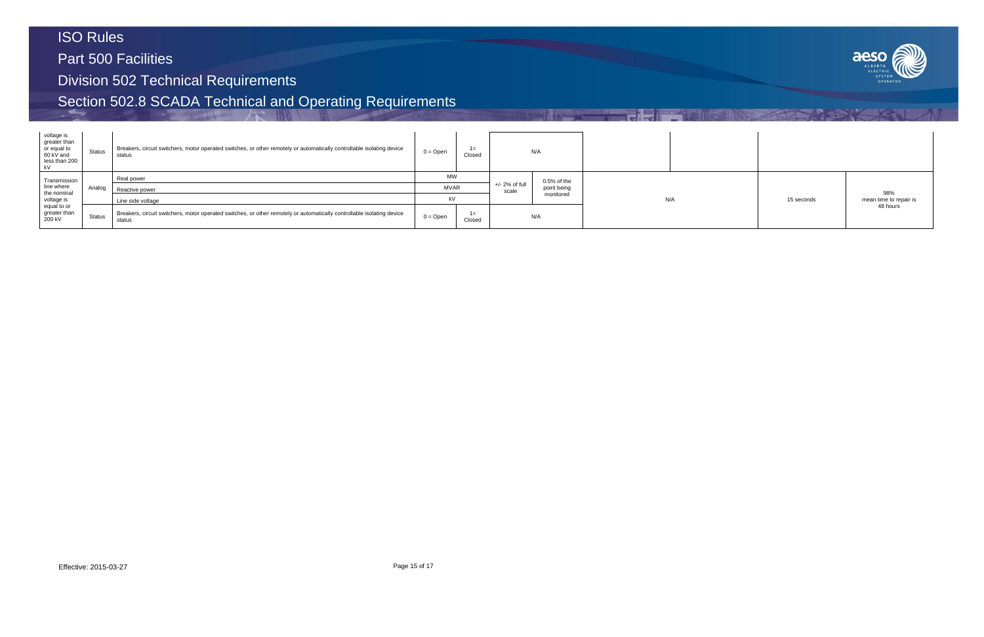Part 500 Facilities

Division 502 Technical Requirements

| voltage is<br>greater than<br>or equal to<br>60 kV and<br>less than 200<br>kV | Status        | Breakers, circuit switchers, motor operated switches, or other remotely or automatically controllable isolating device<br>status | $0 =$ Open | $1 =$<br>Closed |                  | N/A           |     |
|-------------------------------------------------------------------------------|---------------|----------------------------------------------------------------------------------------------------------------------------------|------------|-----------------|------------------|---------------|-----|
| Transmission                                                                  |               | Real power                                                                                                                       | <b>MW</b>  |                 | $+/- 2%$ of full | $0.5%$ of the |     |
| line where                                                                    | Analog        | Reactive power<br>Line side voltage                                                                                              |            | <b>MVAR</b>     |                  | point being   |     |
| the nominal<br>voltage is                                                     |               |                                                                                                                                  |            | kV              |                  | monitored     | N/A |
| equal to or<br>greater than<br>200 kV                                         | <b>Status</b> | Breakers, circuit switchers, motor operated switches, or other remotely or automatically controllable isolating device<br>status | $0 = Open$ | $1 =$<br>Closed |                  | N/A           |     |

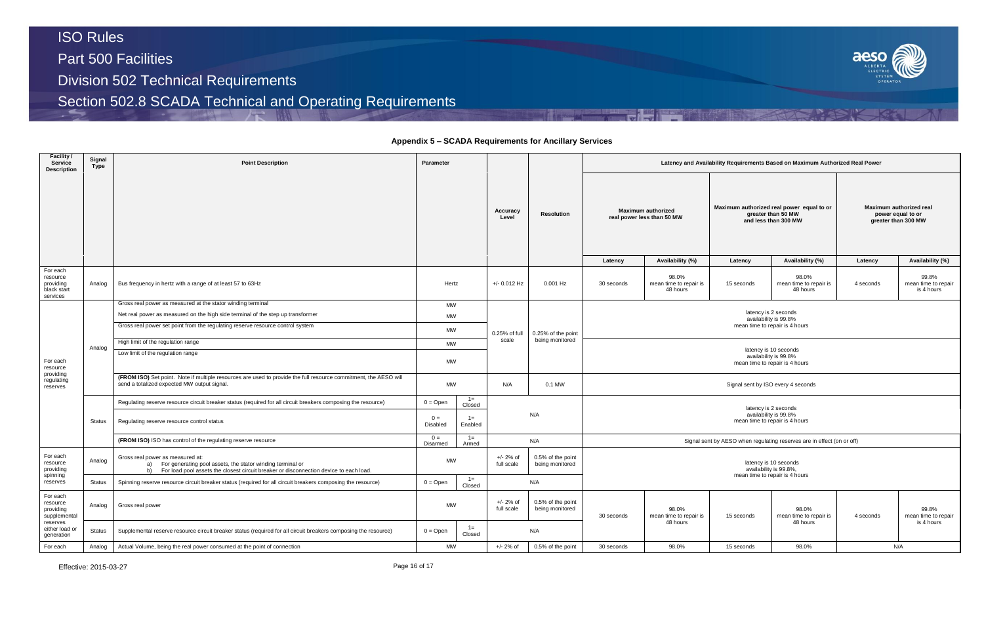### **Appendix 5 – SCADA Requirements for Ancillary Services**

| Latency and Availability Requirements Based on Maximum Authorized Real Power |                                                         |                                                                                 |                                                                                         |                                                                     |                                            |  |  |  |  |  |
|------------------------------------------------------------------------------|---------------------------------------------------------|---------------------------------------------------------------------------------|-----------------------------------------------------------------------------------------|---------------------------------------------------------------------|--------------------------------------------|--|--|--|--|--|
|                                                                              | <b>Maximum authorized</b><br>real power less than 50 MW |                                                                                 | Maximum authorized real power equal to or<br>greater than 50 MW<br>and less than 300 MW | Maximum authorized real<br>power equal to or<br>greater than 300 MW |                                            |  |  |  |  |  |
| Latency                                                                      | Availability (%)                                        | Latency                                                                         | Availability (%)                                                                        | Latency                                                             | Availability (%)                           |  |  |  |  |  |
| ) seconds                                                                    | 98.0%<br>mean time to repair is<br>48 hours             | 15 seconds                                                                      | 98.0%<br>mean time to repair is<br>48 hours                                             | 4 seconds                                                           | 99.8%<br>mean time to repair<br>is 4 hours |  |  |  |  |  |
|                                                                              |                                                         | latency is 2 seconds<br>availability is 99.8%<br>mean time to repair is 4 hours |                                                                                         |                                                                     |                                            |  |  |  |  |  |
|                                                                              |                                                         | availability is 99.8%<br>mean time to repair is 4 hours                         | latency is 10 seconds                                                                   |                                                                     |                                            |  |  |  |  |  |
|                                                                              |                                                         | Signal sent by ISO every 4 seconds                                              |                                                                                         |                                                                     |                                            |  |  |  |  |  |
|                                                                              |                                                         | latency is 2 seconds<br>availability is 99.8%<br>mean time to repair is 4 hours |                                                                                         |                                                                     |                                            |  |  |  |  |  |
|                                                                              |                                                         |                                                                                 | Signal sent by AESO when regulating reserves are in effect (on or off)                  |                                                                     |                                            |  |  |  |  |  |
|                                                                              |                                                         | availability is 99.8%,<br>mean time to repair is 4 hours                        | latency is 10 seconds                                                                   |                                                                     |                                            |  |  |  |  |  |
| ) seconds                                                                    | 98.0%<br>mean time to repair is<br>48 hours             | 15 seconds                                                                      | 98.0%<br>mean time to repair is<br>48 hours                                             | 4 seconds                                                           | 99.8%<br>mean time to repair<br>is 4 hours |  |  |  |  |  |
| ) seconds                                                                    | 98.0%                                                   | 15 seconds                                                                      | 98.0%                                                                                   |                                                                     | N/A                                        |  |  |  |  |  |

| Facility /<br><b>Service</b><br><b>Description</b> | Signal<br><b>Type</b> | <b>Point Description</b>                                                                                                                                                                          | Parameter                |                                        |                           |                                      | Latency and Availability Requirements Based on Maximum Authorized Real Power    |                                                 |                                               |                                                                                  |           |                   |  |                                                         |  |                                                                                         |                                           |  |
|----------------------------------------------------|-----------------------|---------------------------------------------------------------------------------------------------------------------------------------------------------------------------------------------------|--------------------------|----------------------------------------|---------------------------|--------------------------------------|---------------------------------------------------------------------------------|-------------------------------------------------|-----------------------------------------------|----------------------------------------------------------------------------------|-----------|-------------------|--|---------------------------------------------------------|--|-----------------------------------------------------------------------------------------|-------------------------------------------|--|
|                                                    |                       |                                                                                                                                                                                                   |                          |                                        |                           | Accuracy                             |                                                                                 |                                                 |                                               |                                                                                  |           | <b>Resolution</b> |  | <b>Maximum authorized</b><br>real power less than 50 MW |  | Maximum authorized real power equal to or<br>greater than 50 MW<br>and less than 300 MW | Maximum auth<br>power equ<br>greater than |  |
| For each                                           |                       |                                                                                                                                                                                                   |                          |                                        |                           |                                      | Latency                                                                         | Availability (%)                                | Latency                                       | Availability (%)                                                                 | Latency   |                   |  |                                                         |  |                                                                                         |                                           |  |
| resource<br>providing<br>black start<br>services   | Analog                | Bus frequency in hertz with a range of at least 57 to 63Hz                                                                                                                                        |                          | Hertz                                  |                           | 0.001 Hz                             | 30 seconds                                                                      | 98.0%<br>mean time to repair is<br>48 hours     | 15 seconds                                    | 98.0%<br>mean time to repair is<br>48 hours                                      | 4 seconds |                   |  |                                                         |  |                                                                                         |                                           |  |
|                                                    |                       | Gross real power as measured at the stator winding terminal                                                                                                                                       |                          | MW<br><b>MW</b><br>MW<br>0.25% of full |                           |                                      |                                                                                 |                                                 |                                               |                                                                                  |           |                   |  |                                                         |  |                                                                                         |                                           |  |
|                                                    |                       | Net real power as measured on the high side terminal of the step up transformer                                                                                                                   |                          |                                        |                           |                                      |                                                                                 |                                                 | latency is 2 seconds<br>availability is 99.8% |                                                                                  |           |                   |  |                                                         |  |                                                                                         |                                           |  |
|                                                    |                       | Gross real power set point from the regulating reserve resource control system                                                                                                                    |                          |                                        |                           | 0.25% of the point                   |                                                                                 |                                                 |                                               | mean time to repair is 4 hours                                                   |           |                   |  |                                                         |  |                                                                                         |                                           |  |
|                                                    | Analog                | High limit of the regulation range                                                                                                                                                                | <b>MW</b>                |                                        | scale                     | being monitored                      |                                                                                 |                                                 |                                               |                                                                                  |           |                   |  |                                                         |  |                                                                                         |                                           |  |
| For each<br>resource                               |                       | Low limit of the regulation range                                                                                                                                                                 | <b>MW</b>                |                                        |                           |                                      |                                                                                 |                                                 |                                               | latency is 10 seconds<br>availability is 99.8%<br>mean time to repair is 4 hours |           |                   |  |                                                         |  |                                                                                         |                                           |  |
| providing<br>regulating<br>reserves                |                       | (FROM ISO) Set point. Note if multiple resources are used to provide the full resource commitment, the AESO will<br>send a totalized expected MW output signal.                                   | <b>MW</b>                |                                        | N/A                       | 0.1 MW                               | Signal sent by ISO every 4 seconds                                              |                                                 |                                               |                                                                                  |           |                   |  |                                                         |  |                                                                                         |                                           |  |
|                                                    |                       | Regulating reserve resource circuit breaker status (required for all circuit breakers composing the resource)                                                                                     | $0 = Open$               | $1 =$<br>Closed                        |                           |                                      |                                                                                 |                                                 |                                               |                                                                                  |           |                   |  |                                                         |  |                                                                                         |                                           |  |
|                                                    | Status                | Regulating reserve resource control status                                                                                                                                                        | $0 =$<br><b>Disabled</b> | $1 =$<br>Enabled                       |                           | N/A                                  | latency is 2 seconds<br>availability is 99.8%<br>mean time to repair is 4 hours |                                                 |                                               |                                                                                  |           |                   |  |                                                         |  |                                                                                         |                                           |  |
|                                                    |                       | (FROM ISO) ISO has control of the regulating reserve resource                                                                                                                                     | $0 =$<br>Disarmed        | $1 =$<br>Armed                         |                           | N/A                                  |                                                                                 |                                                 |                                               | Signal sent by AESO when regulating reserves are in effect (on or off)           |           |                   |  |                                                         |  |                                                                                         |                                           |  |
| For each<br>resource<br>providing                  | Analog                | Gross real power as measured at:<br>For generating pool assets, the stator winding terminal or<br>a)<br>b) For load pool assets the closest circuit breaker or disconnection device to each load. | <b>MW</b>                |                                        | $+/- 2%$ of<br>full scale | 0.5% of the point<br>being monitored |                                                                                 | latency is 10 seconds<br>availability is 99.8%, |                                               |                                                                                  |           |                   |  |                                                         |  |                                                                                         |                                           |  |
| spinning<br>reserves                               | <b>Status</b>         | Spinning reserve resource circuit breaker status (required for all circuit breakers composing the resource)                                                                                       | $0 = Open$               | $1 =$<br>Closed                        |                           | N/A                                  |                                                                                 |                                                 |                                               | mean time to repair is 4 hours                                                   |           |                   |  |                                                         |  |                                                                                         |                                           |  |
| For each<br>resource<br>providing<br>supplemental  | Analog                | Gross real power                                                                                                                                                                                  | <b>MW</b>                |                                        | $+/- 2%$ of<br>full scale | 0.5% of the point<br>being monitored | 30 seconds                                                                      | 98.0%<br>mean time to repair is                 | 15 seconds                                    | 98.0%<br>mean time to repair is                                                  | 4 seconds |                   |  |                                                         |  |                                                                                         |                                           |  |
| reserves<br>either load or<br>generation           | <b>Status</b>         | Supplemental reserve resource circuit breaker status (required for all circuit breakers composing the resource)                                                                                   | $0 = Open$               | $1 =$<br>Closed                        |                           | N/A                                  |                                                                                 | 48 hours                                        |                                               | 48 hours                                                                         |           |                   |  |                                                         |  |                                                                                         |                                           |  |
| For each                                           | Analog                | Actual Volume, being the real power consumed at the point of connection                                                                                                                           |                          | <b>MW</b>                              |                           | 0.5% of the point                    | 30 seconds                                                                      | 98.0%                                           | 15 seconds                                    | 98.0%                                                                            |           | N/A               |  |                                                         |  |                                                                                         |                                           |  |